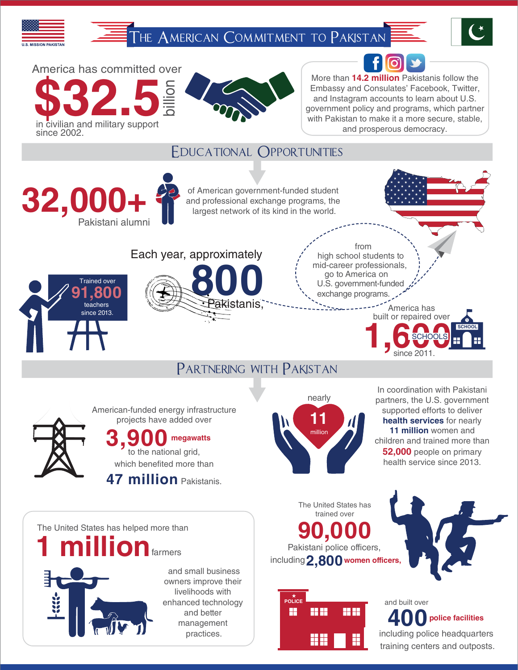THE AMERICAN COMMITMENT TO PAKISTAN





More than **14.2 million** Pakistanis follow the Embassy and Consulates' Facebook, Twitter, and Instagram accounts to learn about U.S. government policy and programs, which partner with Pakistan to make it a more secure, stable, and prosperous democracy.

#### Educational Opportunities



American-funded energy infrastructure projects have added over

#### **3,900 megawatts**

to the national grid, which benefited more than

**47 million** Pakistanis.



partners, the U.S. government supported efforts to deliver **health services** for nearly **11 million** women and children and trained more than **52,000** people on primary health service since 2013.

The United States has helped more than<br> **1 million** farmers<br> **1** million farmers<br> **1** million 2<br> **1** million 2<br> **1** million 2<br> **1** million 2<br> **1** million 2<br> **10** maximum The United States has trained over Pakistani police officers, including **2,800 women officers,**





**400** and built over **police facilities** including police headquarters training centers and outposts.



America has committed over

billion

**\$32.5** in civilian and military support

since 2002.



 and small business owners improve their livelihoods with enhanced technology and better management practices.